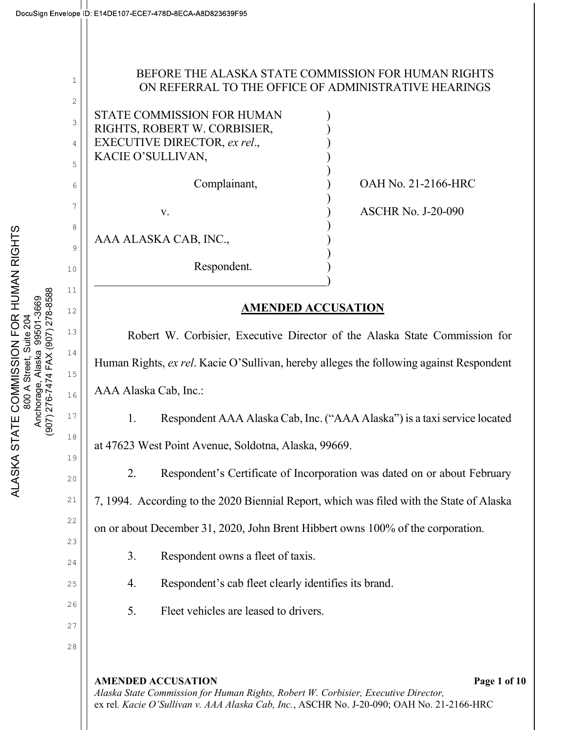2

3

4

5

6

7

8

9

10

11

12

13

14

15

16

17

18

19

20

21

22

23

24

25

26

27

# BEFORE THE ALASKA STATE COMMISSION FOR HUMAN RIGHTS ON REFERRAL TO THE OFFICE OF ADMINISTRATIVE HEARINGS

STATE COMMISSION FOR HUMAN ) RIGHTS, ROBERT W. CORBISIER, ) EXECUTIVE DIRECTOR, ex rel., KACIE O'SULLIVAN, )  $)$  $)$ 

AAA ALASKA CAB, INC., )

 $)$ 

 $)$ Respondent.  $\qquad \qquad \qquad \qquad$ 

Complainant, ) OAH No. 21-2166-HRC

v. ) ASCHR No. J-20-090

# AMENDED ACCUSATION

Robert W. Corbisier, Executive Director of the Alaska State Commission for Human Rights, ex rel. Kacie O'Sullivan, hereby alleges the following against Respondent AAA Alaska Cab, Inc.:

1. Respondent AAA Alaska Cab, Inc. ("AAA Alaska") is a taxi service located at 47623 West Point Avenue, Soldotna, Alaska, 99669.

2. Respondent's Certificate of Incorporation was dated on or about February

7, 1994. According to the 2020 Biennial Report, which was filed with the State of Alaska

on or about December 31, 2020, John Brent Hibbert owns 100% of the corporation.

- 3. Respondent owns a fleet of taxis.
- 4. Respondent's cab fleet clearly identifies its brand.
- 5. Fleet vehicles are leased to drivers.

AMENDED ACCUSATION **Page 1** of 10 Alaska State Commission for Human Rights, Robert W. Corbisier, Executive Director, ex rel. Kacie O'Sullivan v. AAA Alaska Cab, Inc., ASCHR No. J-20-090; OAH No. 21-2166-HRC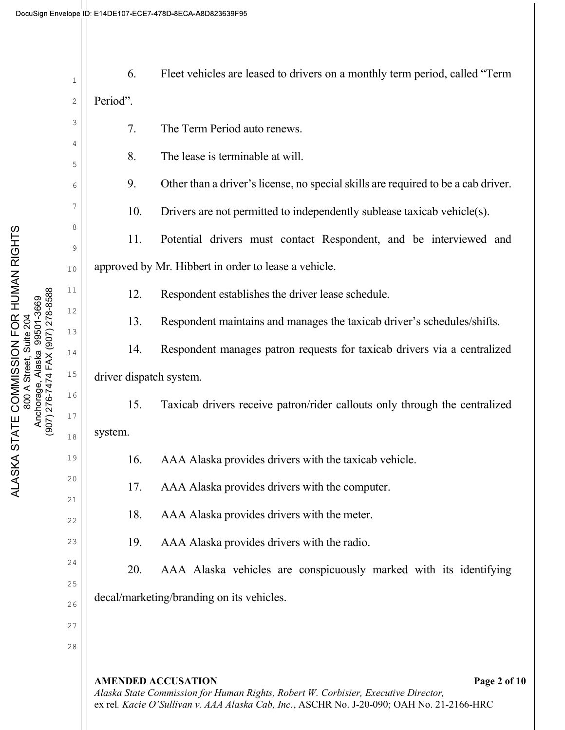| Ancnorage, Alaska  99501-3009<br>(907) 276-7474 FAX (907) 278-8588 | 1        | 6.                                                   | Fleet vehicles are leased to drivers on a monthly term period, called "Term"                                                    |
|--------------------------------------------------------------------|----------|------------------------------------------------------|---------------------------------------------------------------------------------------------------------------------------------|
|                                                                    | 2        | Period".                                             |                                                                                                                                 |
|                                                                    | 3        | 7.                                                   | The Term Period auto renews.                                                                                                    |
|                                                                    | 4<br>5   | 8.                                                   | The lease is terminable at will.                                                                                                |
|                                                                    | 6        | 9.                                                   | Other than a driver's license, no special skills are required to be a cab driver.                                               |
|                                                                    | 7        | 10.                                                  | Drivers are not permitted to independently sublease taxicab vehicle(s).                                                         |
|                                                                    | 8        | 11.                                                  | Potential drivers must contact Respondent, and be interviewed and                                                               |
|                                                                    | 9<br>10  | approved by Mr. Hibbert in order to lease a vehicle. |                                                                                                                                 |
|                                                                    | 11       | 12.                                                  | Respondent establishes the driver lease schedule.                                                                               |
|                                                                    | 12       | 13.                                                  | Respondent maintains and manages the taxicab driver's schedules/shifts.                                                         |
|                                                                    | 13       |                                                      |                                                                                                                                 |
|                                                                    | 14       | 14.                                                  | Respondent manages patron requests for taxicab drivers via a centralized                                                        |
|                                                                    | $15$     | driver dispatch system.                              |                                                                                                                                 |
|                                                                    | 16<br>17 | 15.                                                  | Taxicab drivers receive patron/rider callouts only through the centralized                                                      |
|                                                                    | 18       | system.                                              |                                                                                                                                 |
|                                                                    | 19       | 16.                                                  | AAA Alaska provides drivers with the taxicab vehicle.                                                                           |
|                                                                    | 20       | 17.                                                  | AAA Alaska provides drivers with the computer.                                                                                  |
|                                                                    | 21       | 18.                                                  | AAA Alaska provides drivers with the meter.                                                                                     |
|                                                                    | 22<br>23 | 19.                                                  | AAA Alaska provides drivers with the radio.                                                                                     |
|                                                                    | 24       | 20.                                                  | AAA Alaska vehicles are conspicuously marked with its identifying                                                               |
|                                                                    | 25       |                                                      |                                                                                                                                 |
|                                                                    | 26       |                                                      | decal/marketing/branding on its vehicles.                                                                                       |
|                                                                    | 27       |                                                      |                                                                                                                                 |
|                                                                    | 28       |                                                      |                                                                                                                                 |
|                                                                    |          |                                                      | <b>AMENDED ACCUSATION</b><br>Page 2 of 10<br>Alaska State Commission for Human Rights, Robert W. Corbisier, Executive Director, |

ex rel. Kacie O'Sullivan v. AAA Alaska Cab, Inc., ASCHR No. J-20-090; OAH No. 21-2166-HRC

ALASKA STATE COMMISSION FOR HUMAN RIGHTS<br>800 A Street, Suite 204<br>Anchorage, Alaska 99501-3669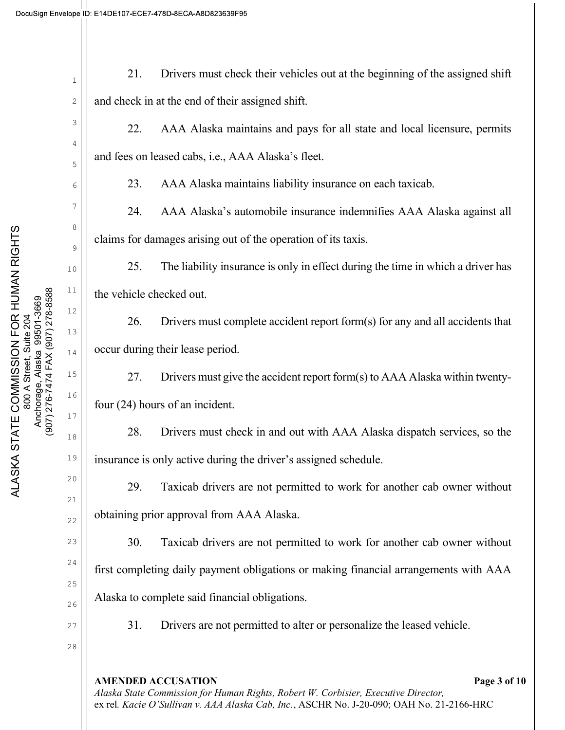AMENDED ACCUSATION **Page 3** of 10 Alaska State Commission for Human Rights, Robert W. Corbisier, Executive Director, ex rel. Kacie O'Sullivan v. AAA Alaska Cab, Inc., ASCHR No. J-20-090; OAH No. 21-2166-HRC 1 2 3 4 5 6 7 8 9 10 11 12 13 14 15 16 17 18 19 20 21 22 23 24 25 26 27 28 ALASKA STATE COMMISSION FOR SURVEYORD FOR SURVEYORD FOR SURVEYORD FOR SURVEYORD 13<br>
28 A Street, Suite 204 Anchorage, Alaska 99507, 276-8569 (13 and 201 and 201 and 201 and 201 and 21 and 21 and 22 and 22 and 22 and 22 21. Drivers must check their vehicles out at the beginning of the assigned shift and check in at the end of their assigned shift. 22. AAA Alaska maintains and pays for all state and local licensure, permits and fees on leased cabs, i.e., AAA Alaska's fleet. 23. AAA Alaska maintains liability insurance on each taxicab. 24. AAA Alaska's automobile insurance indemnifies AAA Alaska against all claims for damages arising out of the operation of its taxis. 25. The liability insurance is only in effect during the time in which a driver has the vehicle checked out. 26. Drivers must complete accident report form(s) for any and all accidents that occur during their lease period. 27. Drivers must give the accident report form(s) to AAA Alaska within twentyfour (24) hours of an incident. 28. Drivers must check in and out with AAA Alaska dispatch services, so the insurance is only active during the driver's assigned schedule. 29. Taxicab drivers are not permitted to work for another cab owner without obtaining prior approval from AAA Alaska. 30. Taxicab drivers are not permitted to work for another cab owner without first completing daily payment obligations or making financial arrangements with AAA Alaska to complete said financial obligations. 31. Drivers are not permitted to alter or personalize the leased vehicle.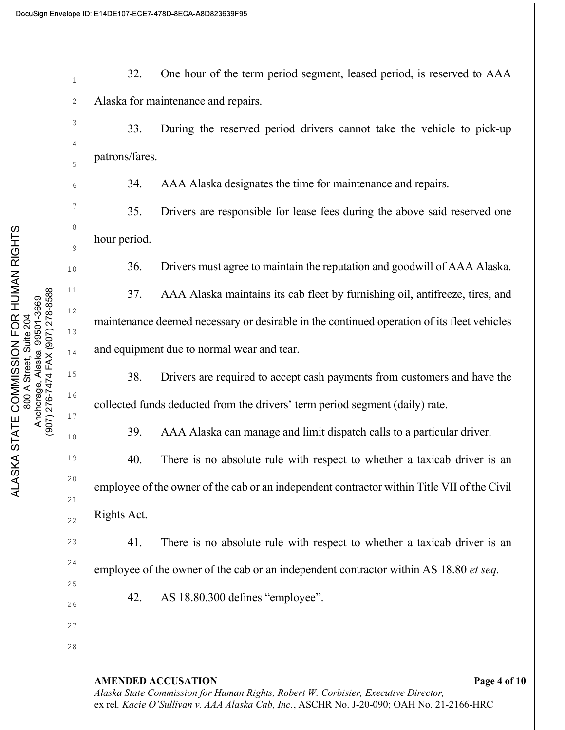2

3

4

5

6

7

8

9

10

11

12

13

14

15

16

17

18

19

20

21

22

23

24

25

26

27

32. One hour of the term period segment, leased period, is reserved to AAA Alaska for maintenance and repairs.

33. During the reserved period drivers cannot take the vehicle to pick-up patrons/fares.

34. AAA Alaska designates the time for maintenance and repairs.

35. Drivers are responsible for lease fees during the above said reserved one hour period.

36. Drivers must agree to maintain the reputation and goodwill of AAA Alaska.

37. AAA Alaska maintains its cab fleet by furnishing oil, antifreeze, tires, and maintenance deemed necessary or desirable in the continued operation of its fleet vehicles and equipment due to normal wear and tear.

38. Drivers are required to accept cash payments from customers and have the collected funds deducted from the drivers' term period segment (daily) rate.

39. AAA Alaska can manage and limit dispatch calls to a particular driver.

40. There is no absolute rule with respect to whether a taxicab driver is an employee of the owner of the cab or an independent contractor within Title VII of the Civil Rights Act.

41. There is no absolute rule with respect to whether a taxicab driver is an employee of the owner of the cab or an independent contractor within AS 18.80 *et seq.* 

42. AS 18.80.300 defines "employee".

AMENDED ACCUSATION **Page 4 of 10** Alaska State Commission for Human Rights, Robert W. Corbisier, Executive Director, ex rel. Kacie O'Sullivan v. AAA Alaska Cab, Inc., ASCHR No. J-20-090; OAH No. 21-2166-HRC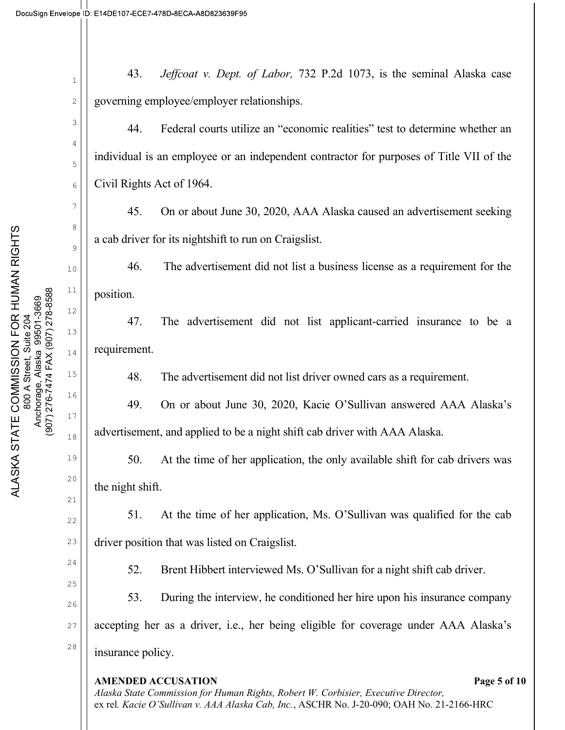2

3

4

5

6

7

8

9

10

11

12

13

14

15

16

17

18

19

20

21

22

23

24

25

26

27

43. *Jeffcoat v. Dept. of Labor*, 732 P.2d 1073, is the seminal Alaska case governing employee/employer relationships.

44. Federal courts utilize an "economic realities" test to determine whether an individual is an employee or an independent contractor for purposes of Title VII of the Civil Rights Act of 1964.

45. On or about June 30, 2020, AAA Alaska caused an advertisement seeking a cab driver for its nightshift to run on Craigslist.

46. The advertisement did not list a business license as a requirement for the position.

47. The advertisement did not list applicant-carried insurance to be a requirement.

48. The advertisement did not list driver owned cars as a requirement.

49. On or about June 30, 2020, Kacie O'Sullivan answered AAA Alaska's advertisement, and applied to be a night shift cab driver with AAA Alaska.

50. At the time of her application, the only available shift for cab drivers was the night shift.

51. At the time of her application, Ms. O'Sullivan was qualified for the cab driver position that was listed on Craigslist.

52. Brent Hibbert interviewed Ms. O'Sullivan for a night shift cab driver.

53. During the interview, he conditioned her hire upon his insurance company accepting her as a driver, i.e., her being eligible for coverage under AAA Alaska's insurance policy.

## AMENDED ACCUSATION **Page 5** of 10

Alaska State Commission for Human Rights, Robert W. Corbisier, Executive Director, ex rel. Kacie O'Sullivan v. AAA Alaska Cab, Inc., ASCHR No. J-20-090; OAH No. 21-2166-HRC

28 ALASKA STATE COMMISSION FOR HUMAN RIGHTS 800 A Street, Suite 204 Anchorage, Alaska 99501-3669 (907) 276-7474 FAX (907) 278-8588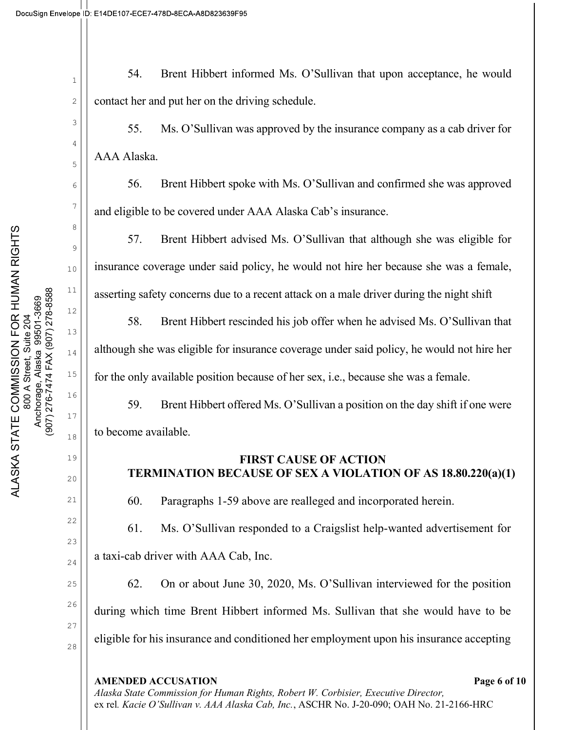2

3

4

5

6

7

8

9

10

11

12

13

14

15

16

17

18

19

20

21

22

23

24

25

26

27

54. Brent Hibbert informed Ms. O'Sullivan that upon acceptance, he would contact her and put her on the driving schedule.

55. Ms. O'Sullivan was approved by the insurance company as a cab driver for AAA Alaska.

56. Brent Hibbert spoke with Ms. O'Sullivan and confirmed she was approved and eligible to be covered under AAA Alaska Cab's insurance.

57. Brent Hibbert advised Ms. O'Sullivan that although she was eligible for insurance coverage under said policy, he would not hire her because she was a female, asserting safety concerns due to a recent attack on a male driver during the night shift

58. Brent Hibbert rescinded his job offer when he advised Ms. O'Sullivan that although she was eligible for insurance coverage under said policy, he would not hire her for the only available position because of her sex, i.e., because she was a female.

59. Brent Hibbert offered Ms. O'Sullivan a position on the day shift if one were to become available.

## FIRST CAUSE OF ACTION TERMINATION BECAUSE OF SEX A VIOLATION OF AS 18.80.220(a)(1)

60. Paragraphs 1-59 above are realleged and incorporated herein.

61. Ms. O'Sullivan responded to a Craigslist help-wanted advertisement for a taxi-cab driver with AAA Cab, Inc.

62. On or about June 30, 2020, Ms. O'Sullivan interviewed for the position during which time Brent Hibbert informed Ms. Sullivan that she would have to be eligible for his insurance and conditioned her employment upon his insurance accepting

## AMENDED ACCUSATION **Page 6** of 10

28 ALASKA STATE COMMISSION FOR SURVEY COMMISSION COMMISSION COMMISSION COMPANY THAN THE COMMISSION COMMISSION COMMISSION COMMISSION COMMISSION COMMISSION COMMISSION COMMISSION COMMISSION COMMISSION COMMISSION COMMISSION C

Alaska State Commission for Human Rights, Robert W. Corbisier, Executive Director, ex rel. Kacie O'Sullivan v. AAA Alaska Cab, Inc., ASCHR No. J-20-090; OAH No. 21-2166-HRC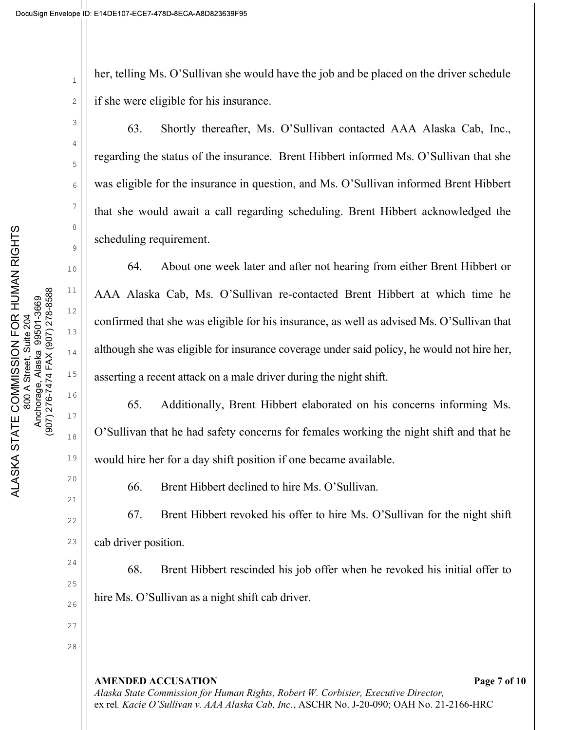2

3

4

5

6

7

8

9

10

11

12

13

14

15

16

17

18

19

20

21

22

23

24

25

26

27

her, telling Ms. O'Sullivan she would have the job and be placed on the driver schedule if she were eligible for his insurance.

63. Shortly thereafter, Ms. O'Sullivan contacted AAA Alaska Cab, Inc., regarding the status of the insurance. Brent Hibbert informed Ms. O'Sullivan that she was eligible for the insurance in question, and Ms. O'Sullivan informed Brent Hibbert that she would await a call regarding scheduling. Brent Hibbert acknowledged the scheduling requirement.

64. About one week later and after not hearing from either Brent Hibbert or AAA Alaska Cab, Ms. O'Sullivan re-contacted Brent Hibbert at which time he confirmed that she was eligible for his insurance, as well as advised Ms. O'Sullivan that although she was eligible for insurance coverage under said policy, he would not hire her, asserting a recent attack on a male driver during the night shift.

65. Additionally, Brent Hibbert elaborated on his concerns informing Ms. O'Sullivan that he had safety concerns for females working the night shift and that he would hire her for a day shift position if one became available.

66. Brent Hibbert declined to hire Ms. O'Sullivan.

67. Brent Hibbert revoked his offer to hire Ms. O'Sullivan for the night shift cab driver position.

68. Brent Hibbert rescinded his job offer when he revoked his initial offer to hire Ms. O'Sullivan as a night shift cab driver.

AMENDED ACCUSATION **Page 7** of 10 Alaska State Commission for Human Rights, Robert W. Corbisier, Executive Director, ex rel. Kacie O'Sullivan v. AAA Alaska Cab, Inc., ASCHR No. J-20-090; OAH No. 21-2166-HRC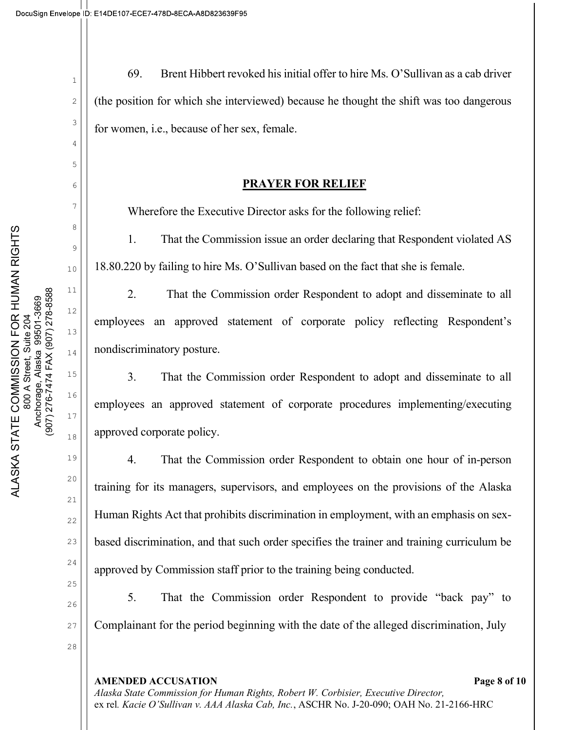2

3

4

5

6

7

8

9

10

11

12

13

14

15

16

17

18

19

20

21

22

23

24

25

26

27

69. Brent Hibbert revoked his initial offer to hire Ms. O'Sullivan as a cab driver (the position for which she interviewed) because he thought the shift was too dangerous for women, i.e., because of her sex, female.

### PRAYER FOR RELIEF

Wherefore the Executive Director asks for the following relief:

1. That the Commission issue an order declaring that Respondent violated AS 18.80.220 by failing to hire Ms. O'Sullivan based on the fact that she is female.

2. That the Commission order Respondent to adopt and disseminate to all employees an approved statement of corporate policy reflecting Respondent's nondiscriminatory posture.

3. That the Commission order Respondent to adopt and disseminate to all employees an approved statement of corporate procedures implementing/executing approved corporate policy.

4. That the Commission order Respondent to obtain one hour of in-person training for its managers, supervisors, and employees on the provisions of the Alaska Human Rights Act that prohibits discrimination in employment, with an emphasis on sexbased discrimination, and that such order specifies the trainer and training curriculum be approved by Commission staff prior to the training being conducted.

5. That the Commission order Respondent to provide "back pay" to Complainant for the period beginning with the date of the alleged discrimination, July

#### AMENDED ACCUSATION **Page 8 of 10**

Alaska State Commission for Human Rights, Robert W. Corbisier, Executive Director, ex rel. Kacie O'Sullivan v. AAA Alaska Cab, Inc., ASCHR No. J-20-090; OAH No. 21-2166-HRC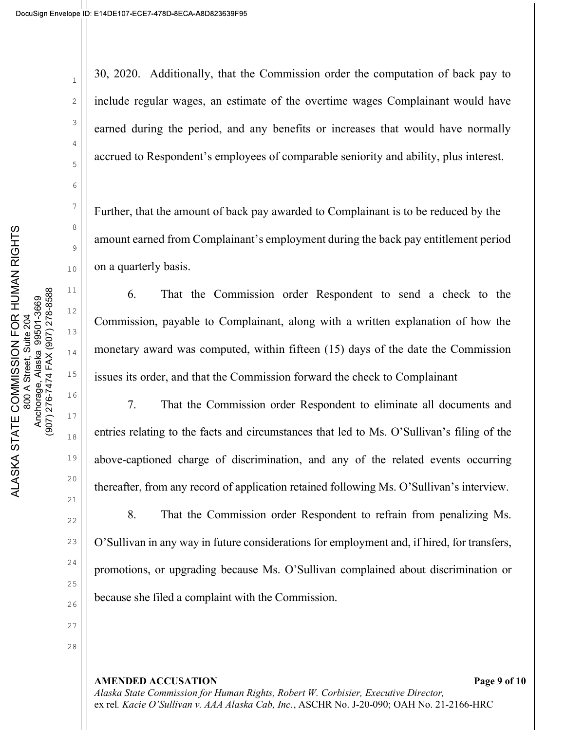2

3

4

5

6

7

8

9

10

11

12

13

14

15

16

17

18

19

20

21

22

23

24

25

26

30, 2020. Additionally, that the Commission order the computation of back pay to include regular wages, an estimate of the overtime wages Complainant would have earned during the period, and any benefits or increases that would have normally accrued to Respondent's employees of comparable seniority and ability, plus interest.

Further, that the amount of back pay awarded to Complainant is to be reduced by the amount earned from Complainant's employment during the back pay entitlement period on a quarterly basis.

6. That the Commission order Respondent to send a check to the Commission, payable to Complainant, along with a written explanation of how the monetary award was computed, within fifteen (15) days of the date the Commission issues its order, and that the Commission forward the check to Complainant

7. That the Commission order Respondent to eliminate all documents and entries relating to the facts and circumstances that led to Ms. O'Sullivan's filing of the above-captioned charge of discrimination, and any of the related events occurring thereafter, from any record of application retained following Ms. O'Sullivan's interview.

8. That the Commission order Respondent to refrain from penalizing Ms. O'Sullivan in any way in future considerations for employment and, if hired, for transfers, promotions, or upgrading because Ms. O'Sullivan complained about discrimination or because she filed a complaint with the Commission.

AMENDED ACCUSATION **Page 9** of 10 Alaska State Commission for Human Rights, Robert W. Corbisier, Executive Director, ex rel. Kacie O'Sullivan v. AAA Alaska Cab, Inc., ASCHR No. J-20-090; OAH No. 21-2166-HRC

27